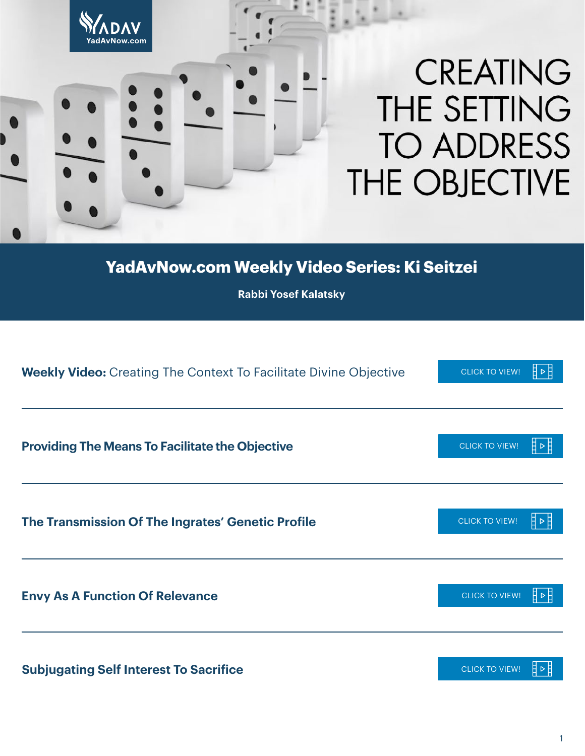

**YadAvNow.com Weekly Video Series: Ki Seitzei**

**Rabbi Yosef Kalatsky**

| <b>Weekly Video:</b> Creating The Context To Facilitate Divine Objective | <b>CLICK TO VIEW!</b> |
|--------------------------------------------------------------------------|-----------------------|
| <b>Providing The Means To Facilitate the Objective</b>                   | <b>CLICK TO VIEW!</b> |
| The Transmission Of The Ingrates' Genetic Profile                        | <b>CLICK TO VIEW!</b> |
| <b>Envy As A Function Of Relevance</b>                                   | <b>CLICK TO VIEW!</b> |
| <b>Subjugating Self Interest To Sacrifice</b>                            | <b>CLICK TO VIEW!</b> |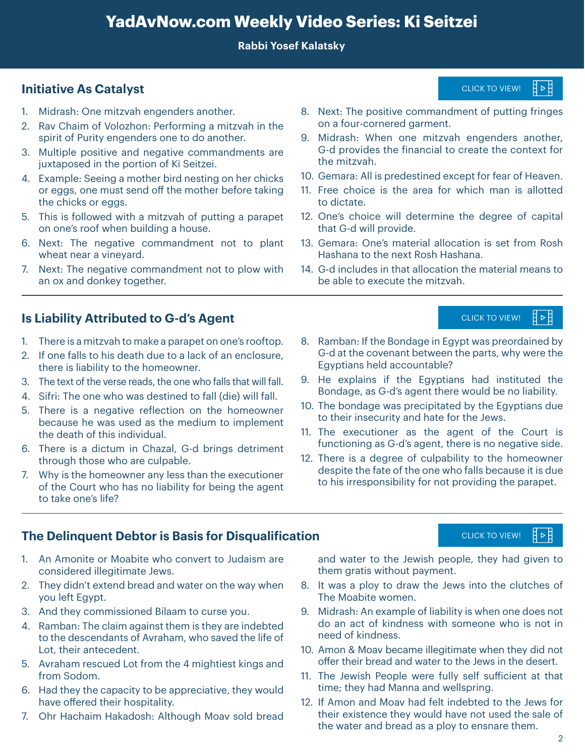# **YadAvNow.com Weekly Video Series: Ki Seitzei**

#### **Rabbi Yosef Kalatsky**

### **Initiative As Catalyst** [CLICK TO VIEW!](https://youtu.be/4POEKbzzacA)

- 1. Midrash: One mitzvah engenders another.
- 2. Rav Chaim of Volozhon: Performing a mitzvah in the spirit of Purity engenders one to do another.
- 3. Multiple positive and negative commandments are juxtaposed in the portion of Ki Seitzei.
- 4. Example: Seeing a mother bird nesting on her chicks or eggs, one must send off the mother before taking the chicks or eggs.
- 5. This is followed with a mitzvah of putting a parapet on one's roof when building a house.
- 6. Next: The negative commandment not to plant wheat near a vineyard.
- 7. Next: The negative commandment not to plow with an ox and donkey together.

### **Is Liability Attributed to G-d's Agent <b>Interpretent and [CLICK TO VIEW!](https://youtu.be/vtdHKTC5f70)** CLICK TO VIEW!

- 1. There is a mitzvah to make a parapet on one's rooftop.
- 2. If one falls to his death due to a lack of an enclosure, there is liability to the homeowner.
- 3. The text of the verse reads, the one who falls that will fall.
- 4. Sifri: The one who was destined to fall (die) will fall.
- 5. There is a negative reflection on the homeowner because he was used as the medium to implement the death of this individual.
- 6. There is a dictum in Chazal, G-d brings detriment through those who are culpable.
- 7. Why is the homeowner any less than the executioner of the Court who has no liability for being the agent to take one's life?

#### **The Delinquent Debtor is Basis for Disqualification**

- 1. An Amonite or Moabite who convert to Judaism are considered illegitimate Jews.
- 2. They didn't extend bread and water on the way when you left Egypt.
- 3. And they commissioned Bilaam to curse you.
- 4. Ramban: The claim against them is they are indebted to the descendants of Avraham, who saved the life of Lot, their antecedent.
- 5. Avraham rescued Lot from the 4 mightiest kings and from Sodom.
- 6. Had they the capacity to be appreciative, they would have offered their hospitality.
- 7. Ohr Hachaim Hakadosh: Although Moav sold bread

8. Next: The positive commandment of putting fringes on a four-cornered garment.

- 9. Midrash: When one mitzvah engenders another, G-d provides the financial to create the context for the mitzvah. ent of puttir<br>
engenders<br>
create the core<br>
ept for fear o<br>
which man is<br>
che degree of<br>
tion is set filiana.<br>
the material<br>
cluck To View<br>
che pays by the Egyp<br>
the Jews.<br>
ent of the pays the Jews.<br>
ent of the ho<br>
falls be
- 10. Gemara: All is predestined except for fear of Heaven.
- 11. Free choice is the area for which man is allotted to dictate.
- 12. One's choice will determine the degree of capital that G-d will provide.
- 13. Gemara: One's material allocation is set from Rosh Hashana to the next Rosh Hashana.
- 14. G-d includes in that allocation the material means to be able to execute the mitzvah.

### ᅤ╺ᅤ

- 8. Ramban: If the Bondage in Egypt was preordained by G-d at the covenant between the parts, why were the Egyptians held accountable?
- 9. He explains if the Egyptians had instituted the Bondage, as G-d's agent there would be no liability.
- 10. The bondage was precipitated by the Egyptians due to their insecurity and hate for the Jews.
- 11. The executioner as the agent of the Court is functioning as G-d's agent, there is no negative side.
- 12. There is a degree of culpability to the homeowner despite the fate of the one who falls because it is due to his irresponsibility for not providing the parapet.

### [CLICK TO VIEW!](https://youtu.be/5NHW0IjFP6w)

and water to the Jewish people, they had given to them gratis without payment.

- 8. It was a ploy to draw the Jews into the clutches of The Moabite women.
- 9. Midrash: An example of liability is when one does not do an act of kindness with someone who is not in need of kindness.
- 10. Amon & Moav became illegitimate when they did not offer their bread and water to the Jews in the desert.
- 11. The Jewish People were fully self sufficient at that time; they had Manna and wellspring.
- 12. If Amon and Moav had felt indebted to the Jews for their existence they would have not used the sale of the water and bread as a ploy to ensnare them.

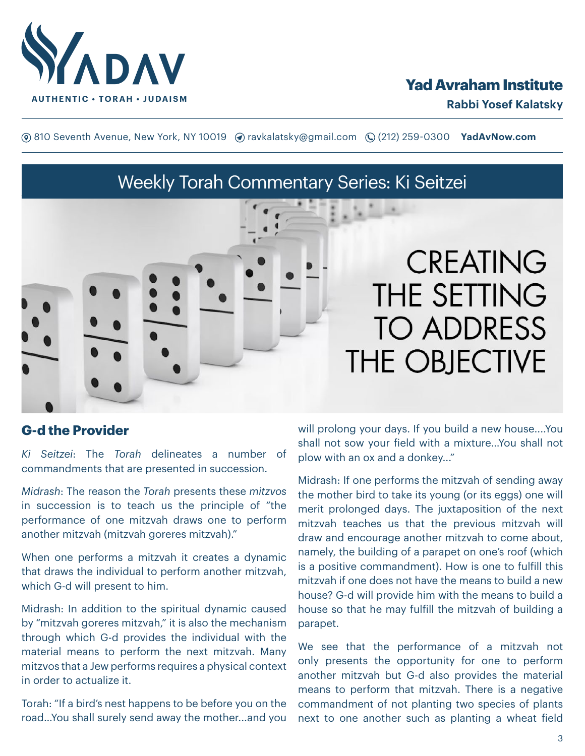

# **Yad Avraham Institute**

**(**® 810 Seventh Avenue, New York, NY 10019 (? ravkalatsky@gmail.com (2(212) 259-0300 **YadAvNow.com** 

# Weekly Torah Commentary Series: Ki Seitzei



# **CREATING** THE SETTING **TO ADDRESS** THE OBJECTIVE

# **G-d the Provider**

*Ki Seitzei*: The *Torah* delineates a number of commandments that are presented in succession.

*Midrash*: The reason the *Torah* presents these *mitzvos* in succession is to teach us the principle of "the performance of one mitzvah draws one to perform another mitzvah (mitzvah goreres mitzvah)."

When one performs a mitzvah it creates a dynamic that draws the individual to perform another mitzvah, which G-d will present to him.

Midrash: In addition to the spiritual dynamic caused by "mitzvah goreres mitzvah," it is also the mechanism through which G-d provides the individual with the material means to perform the next mitzvah. Many mitzvos that a Jew performs requires a physical context in order to actualize it.

Torah: "If a bird's nest happens to be before you on the road…You shall surely send away the mother...and you

will prolong your days. If you build a new house....You shall not sow your field with a mixture…You shall not plow with an ox and a donkey..."

Midrash: If one performs the mitzvah of sending away the mother bird to take its young (or its eggs) one will merit prolonged days. The juxtaposition of the next mitzvah teaches us that the previous mitzvah will draw and encourage another mitzvah to come about, namely, the building of a parapet on one's roof (which is a positive commandment). How is one to fulfill this mitzvah if one does not have the means to build a new house? G-d will provide him with the means to build a house so that he may fulfill the mitzvah of building a parapet.

We see that the performance of a mitzvah not only presents the opportunity for one to perform another mitzvah but G-d also provides the material means to perform that mitzvah. There is a negative commandment of not planting two species of plants next to one another such as planting a wheat field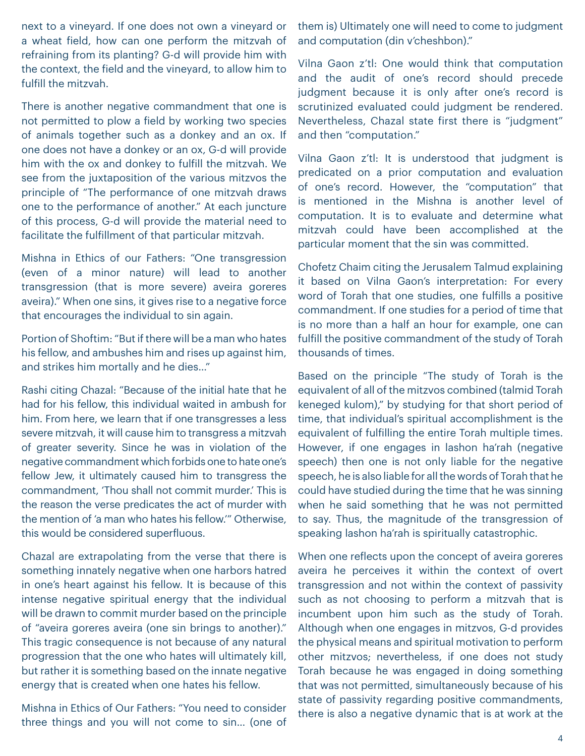next to a vineyard. If one does not own a vineyard or a wheat field, how can one perform the mitzvah of refraining from its planting? G-d will provide him with the context, the field and the vineyard, to allow him to fulfill the mitzvah.

There is another negative commandment that one is not permitted to plow a field by working two species of animals together such as a donkey and an ox. If one does not have a donkey or an ox, G-d will provide him with the ox and donkey to fulfill the mitzvah. We see from the juxtaposition of the various mitzvos the principle of "The performance of one mitzvah draws one to the performance of another." At each juncture of this process, G-d will provide the material need to facilitate the fulfillment of that particular mitzvah.

Mishna in Ethics of our Fathers: "One transgression (even of a minor nature) will lead to another transgression (that is more severe) aveira goreres aveira)." When one sins, it gives rise to a negative force that encourages the individual to sin again.

Portion of Shoftim: "But if there will be a man who hates his fellow, and ambushes him and rises up against him, and strikes him mortally and he dies…"

Rashi citing Chazal: "Because of the initial hate that he had for his fellow, this individual waited in ambush for him. From here, we learn that if one transgresses a less severe mitzvah, it will cause him to transgress a mitzvah of greater severity. Since he was in violation of the negative commandment which forbids one to hate one's fellow Jew, it ultimately caused him to transgress the commandment, 'Thou shall not commit murder.' This is the reason the verse predicates the act of murder with the mention of 'a man who hates his fellow.'" Otherwise, this would be considered superfluous.

Chazal are extrapolating from the verse that there is something innately negative when one harbors hatred in one's heart against his fellow. It is because of this intense negative spiritual energy that the individual will be drawn to commit murder based on the principle of "aveira goreres aveira (one sin brings to another)." This tragic consequence is not because of any natural progression that the one who hates will ultimately kill, but rather it is something based on the innate negative energy that is created when one hates his fellow.

Mishna in Ethics of Our Fathers: "You need to consider three things and you will not come to sin… (one of them is) Ultimately one will need to come to judgment and computation (din v'cheshbon)."

Vilna Gaon z'tl: One would think that computation and the audit of one's record should precede judgment because it is only after one's record is scrutinized evaluated could judgment be rendered. Nevertheless, Chazal state first there is "judgment" and then "computation."

Vilna Gaon z'tl: It is understood that judgment is predicated on a prior computation and evaluation of one's record. However, the "computation" that is mentioned in the Mishna is another level of computation. It is to evaluate and determine what mitzvah could have been accomplished at the particular moment that the sin was committed.

Chofetz Chaim citing the Jerusalem Talmud explaining it based on Vilna Gaon's interpretation: For every word of Torah that one studies, one fulfills a positive commandment. If one studies for a period of time that is no more than a half an hour for example, one can fulfill the positive commandment of the study of Torah thousands of times.

Based on the principle "The study of Torah is the equivalent of all of the mitzvos combined (talmid Torah keneged kulom)," by studying for that short period of time, that individual's spiritual accomplishment is the equivalent of fulfilling the entire Torah multiple times. However, if one engages in lashon ha'rah (negative speech) then one is not only liable for the negative speech, he is also liable for all the words of Torah that he could have studied during the time that he was sinning when he said something that he was not permitted to say. Thus, the magnitude of the transgression of speaking lashon ha'rah is spiritually catastrophic.

When one reflects upon the concept of aveira goreres aveira he perceives it within the context of overt transgression and not within the context of passivity such as not choosing to perform a mitzvah that is incumbent upon him such as the study of Torah. Although when one engages in mitzvos, G-d provides the physical means and spiritual motivation to perform other mitzvos; nevertheless, if one does not study Torah because he was engaged in doing something that was not permitted, simultaneously because of his state of passivity regarding positive commandments, there is also a negative dynamic that is at work at the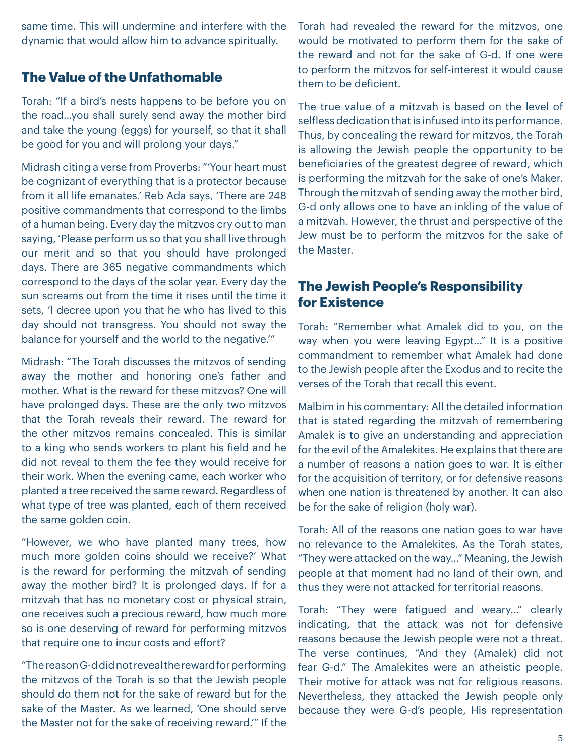same time. This will undermine and interfere with the dynamic that would allow him to advance spiritually.

# **The Value of the Unfathomable**

Torah: "If a bird's nests happens to be before you on the road…you shall surely send away the mother bird and take the young (eggs) for yourself, so that it shall be good for you and will prolong your days."

Midrash citing a verse from Proverbs: "'Your heart must be cognizant of everything that is a protector because from it all life emanates.' Reb Ada says, 'There are 248 positive commandments that correspond to the limbs of a human being. Every day the mitzvos cry out to man saying, 'Please perform us so that you shall live through our merit and so that you should have prolonged days. There are 365 negative commandments which correspond to the days of the solar year. Every day the sun screams out from the time it rises until the time it sets, 'I decree upon you that he who has lived to this day should not transgress. You should not sway the balance for yourself and the world to the negative.'"

Midrash: "The Torah discusses the mitzvos of sending away the mother and honoring one's father and mother. What is the reward for these mitzvos? One will have prolonged days. These are the only two mitzvos that the Torah reveals their reward. The reward for the other mitzvos remains concealed. This is similar to a king who sends workers to plant his field and he did not reveal to them the fee they would receive for their work. When the evening came, each worker who planted a tree received the same reward. Regardless of what type of tree was planted, each of them received the same golden coin.

"However, we who have planted many trees, how much more golden coins should we receive?' What is the reward for performing the mitzvah of sending away the mother bird? It is prolonged days. If for a mitzvah that has no monetary cost or physical strain, one receives such a precious reward, how much more so is one deserving of reward for performing mitzvos that require one to incur costs and effort?

"The reason G-d did not reveal the reward for performing the mitzvos of the Torah is so that the Jewish people should do them not for the sake of reward but for the sake of the Master. As we learned, 'One should serve the Master not for the sake of receiving reward.'" If the Torah had revealed the reward for the mitzvos, one would be motivated to perform them for the sake of the reward and not for the sake of G-d. If one were to perform the mitzvos for self-interest it would cause them to be deficient.

The true value of a mitzvah is based on the level of selfless dedication that is infused into its performance. Thus, by concealing the reward for mitzvos, the Torah is allowing the Jewish people the opportunity to be beneficiaries of the greatest degree of reward, which is performing the mitzvah for the sake of one's Maker. Through the mitzvah of sending away the mother bird, G-d only allows one to have an inkling of the value of a mitzvah. However, the thrust and perspective of the Jew must be to perform the mitzvos for the sake of the Master.

### **The Jewish People's Responsibility for Existence**

Torah: "Remember what Amalek did to you, on the way when you were leaving Egypt…" It is a positive commandment to remember what Amalek had done to the Jewish people after the Exodus and to recite the verses of the Torah that recall this event.

Malbim in his commentary: All the detailed information that is stated regarding the mitzvah of remembering Amalek is to give an understanding and appreciation for the evil of the Amalekites. He explains that there are a number of reasons a nation goes to war. It is either for the acquisition of territory, or for defensive reasons when one nation is threatened by another. It can also be for the sake of religion (holy war).

Torah: All of the reasons one nation goes to war have no relevance to the Amalekites. As the Torah states, "They were attacked on the way…" Meaning, the Jewish people at that moment had no land of their own, and thus they were not attacked for territorial reasons.

Torah: "They were fatigued and weary…" clearly indicating, that the attack was not for defensive reasons because the Jewish people were not a threat. The verse continues, "And they (Amalek) did not fear G-d." The Amalekites were an atheistic people. Their motive for attack was not for religious reasons. Nevertheless, they attacked the Jewish people only because they were G-d's people, His representation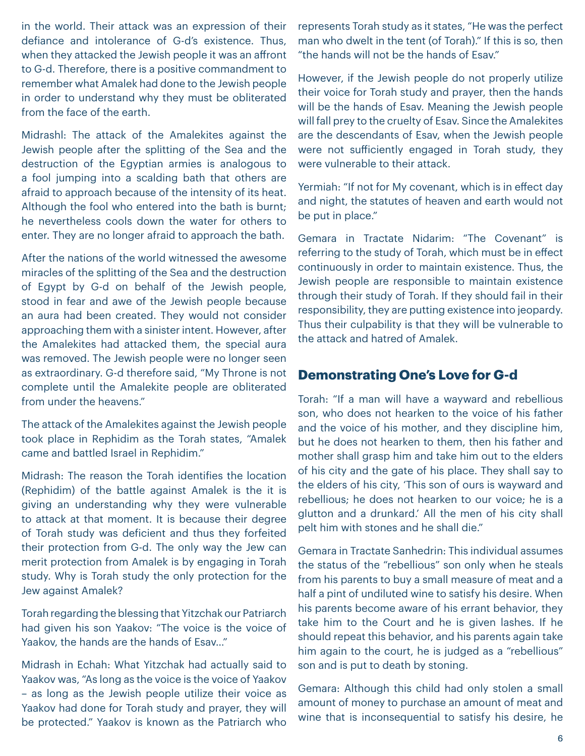in the world. Their attack was an expression of their defiance and intolerance of G-d's existence. Thus, when they attacked the Jewish people it was an affront to G-d. Therefore, there is a positive commandment to remember what Amalek had done to the Jewish people in order to understand why they must be obliterated from the face of the earth.

Midrashl: The attack of the Amalekites against the Jewish people after the splitting of the Sea and the destruction of the Egyptian armies is analogous to a fool jumping into a scalding bath that others are afraid to approach because of the intensity of its heat. Although the fool who entered into the bath is burnt; he nevertheless cools down the water for others to enter. They are no longer afraid to approach the bath.

After the nations of the world witnessed the awesome miracles of the splitting of the Sea and the destruction of Egypt by G-d on behalf of the Jewish people, stood in fear and awe of the Jewish people because an aura had been created. They would not consider approaching them with a sinister intent. However, after the Amalekites had attacked them, the special aura was removed. The Jewish people were no longer seen as extraordinary. G-d therefore said, "My Throne is not complete until the Amalekite people are obliterated from under the heavens."

The attack of the Amalekites against the Jewish people took place in Rephidim as the Torah states, "Amalek came and battled Israel in Rephidim."

Midrash: The reason the Torah identifies the location (Rephidim) of the battle against Amalek is the it is giving an understanding why they were vulnerable to attack at that moment. It is because their degree of Torah study was deficient and thus they forfeited their protection from G-d. The only way the Jew can merit protection from Amalek is by engaging in Torah study. Why is Torah study the only protection for the Jew against Amalek?

Torah regarding the blessing that Yitzchak our Patriarch had given his son Yaakov: "The voice is the voice of Yaakov, the hands are the hands of Esav…"

Midrash in Echah: What Yitzchak had actually said to Yaakov was, "As long as the voice is the voice of Yaakov – as long as the Jewish people utilize their voice as Yaakov had done for Torah study and prayer, they will be protected." Yaakov is known as the Patriarch who

represents Torah study as it states, "He was the perfect man who dwelt in the tent (of Torah)." If this is so, then "the hands will not be the hands of Esav."

However, if the Jewish people do not properly utilize their voice for Torah study and prayer, then the hands will be the hands of Esav. Meaning the Jewish people will fall prey to the cruelty of Esav. Since the Amalekites are the descendants of Esav, when the Jewish people were not sufficiently engaged in Torah study, they were vulnerable to their attack.

Yermiah: "If not for My covenant, which is in effect day and night, the statutes of heaven and earth would not be put in place."

Gemara in Tractate Nidarim: "The Covenant" is referring to the study of Torah, which must be in effect continuously in order to maintain existence. Thus, the Jewish people are responsible to maintain existence through their study of Torah. If they should fail in their responsibility, they are putting existence into jeopardy. Thus their culpability is that they will be vulnerable to the attack and hatred of Amalek.

### **Demonstrating One's Love for G-d**

Torah: "If a man will have a wayward and rebellious son, who does not hearken to the voice of his father and the voice of his mother, and they discipline him, but he does not hearken to them, then his father and mother shall grasp him and take him out to the elders of his city and the gate of his place. They shall say to the elders of his city, 'This son of ours is wayward and rebellious; he does not hearken to our voice; he is a glutton and a drunkard.' All the men of his city shall pelt him with stones and he shall die."

Gemara in Tractate Sanhedrin: This individual assumes the status of the "rebellious" son only when he steals from his parents to buy a small measure of meat and a half a pint of undiluted wine to satisfy his desire. When his parents become aware of his errant behavior, they take him to the Court and he is given lashes. If he should repeat this behavior, and his parents again take him again to the court, he is judged as a "rebellious" son and is put to death by stoning.

Gemara: Although this child had only stolen a small amount of money to purchase an amount of meat and wine that is inconsequential to satisfy his desire, he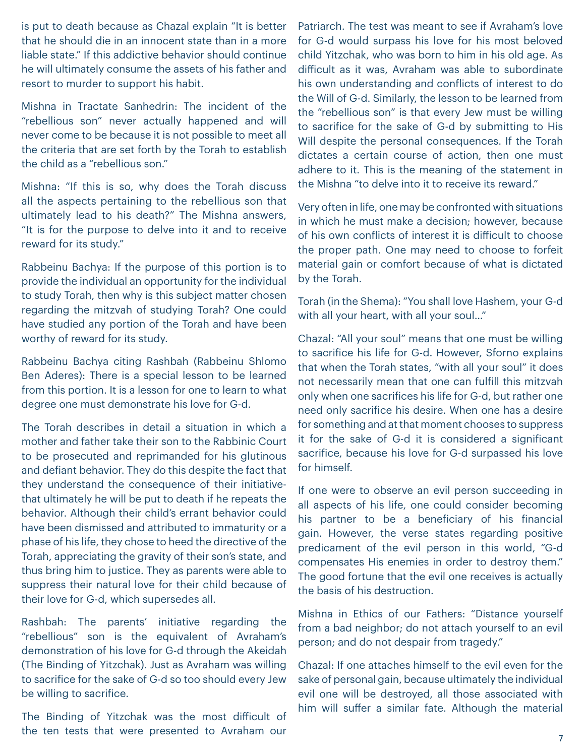is put to death because as Chazal explain "It is better that he should die in an innocent state than in a more liable state." If this addictive behavior should continue he will ultimately consume the assets of his father and resort to murder to support his habit.

Mishna in Tractate Sanhedrin: The incident of the "rebellious son" never actually happened and will never come to be because it is not possible to meet all the criteria that are set forth by the Torah to establish the child as a "rebellious son."

Mishna: "If this is so, why does the Torah discuss all the aspects pertaining to the rebellious son that ultimately lead to his death?" The Mishna answers, "It is for the purpose to delve into it and to receive reward for its study."

Rabbeinu Bachya: If the purpose of this portion is to provide the individual an opportunity for the individual to study Torah, then why is this subject matter chosen regarding the mitzvah of studying Torah? One could have studied any portion of the Torah and have been worthy of reward for its study.

Rabbeinu Bachya citing Rashbah (Rabbeinu Shlomo Ben Aderes): There is a special lesson to be learned from this portion. It is a lesson for one to learn to what degree one must demonstrate his love for G-d.

The Torah describes in detail a situation in which a mother and father take their son to the Rabbinic Court to be prosecuted and reprimanded for his glutinous and defiant behavior. They do this despite the fact that they understand the consequence of their initiativethat ultimately he will be put to death if he repeats the behavior. Although their child's errant behavior could have been dismissed and attributed to immaturity or a phase of his life, they chose to heed the directive of the Torah, appreciating the gravity of their son's state, and thus bring him to justice. They as parents were able to suppress their natural love for their child because of their love for G-d, which supersedes all.

Rashbah: The parents' initiative regarding the "rebellious" son is the equivalent of Avraham's demonstration of his love for G-d through the Akeidah (The Binding of Yitzchak). Just as Avraham was willing to sacrifice for the sake of G-d so too should every Jew be willing to sacrifice.

The Binding of Yitzchak was the most difficult of the ten tests that were presented to Avraham our Patriarch. The test was meant to see if Avraham's love for G-d would surpass his love for his most beloved child Yitzchak, who was born to him in his old age. As difficult as it was, Avraham was able to subordinate his own understanding and conflicts of interest to do the Will of G-d. Similarly, the lesson to be learned from the "rebellious son" is that every Jew must be willing to sacrifice for the sake of G-d by submitting to His Will despite the personal consequences. If the Torah dictates a certain course of action, then one must adhere to it. This is the meaning of the statement in the Mishna "to delve into it to receive its reward."

Very often in life, one may be confronted with situations in which he must make a decision; however, because of his own conflicts of interest it is difficult to choose the proper path. One may need to choose to forfeit material gain or comfort because of what is dictated by the Torah.

Torah (in the Shema): "You shall love Hashem, your G-d with all your heart, with all your soul…"

Chazal: "All your soul" means that one must be willing to sacrifice his life for G-d. However, Sforno explains that when the Torah states, "with all your soul" it does not necessarily mean that one can fulfill this mitzvah only when one sacrifices his life for G-d, but rather one need only sacrifice his desire. When one has a desire for something and at that moment chooses to suppress it for the sake of G-d it is considered a significant sacrifice, because his love for G-d surpassed his love for himself.

If one were to observe an evil person succeeding in all aspects of his life, one could consider becoming his partner to be a beneficiary of his financial gain. However, the verse states regarding positive predicament of the evil person in this world, "G-d compensates His enemies in order to destroy them." The good fortune that the evil one receives is actually the basis of his destruction.

Mishna in Ethics of our Fathers: "Distance yourself from a bad neighbor; do not attach yourself to an evil person; and do not despair from tragedy."

Chazal: If one attaches himself to the evil even for the sake of personal gain, because ultimately the individual evil one will be destroyed, all those associated with him will suffer a similar fate. Although the material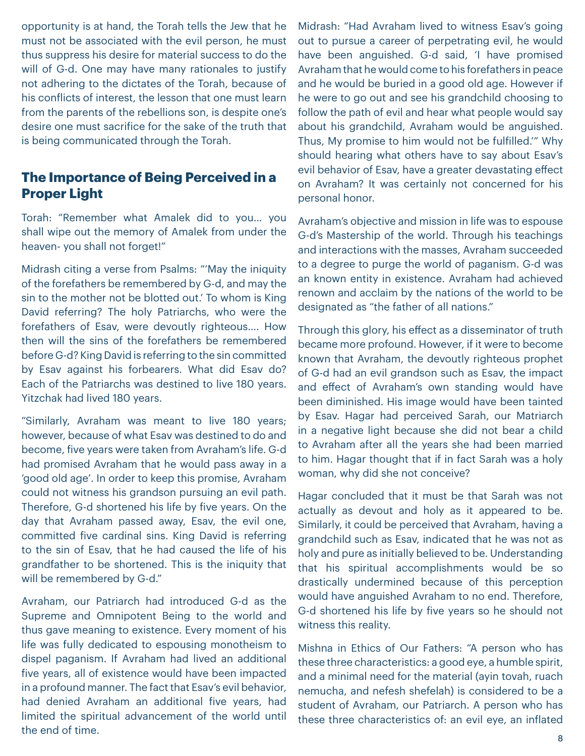opportunity is at hand, the Torah tells the Jew that he must not be associated with the evil person, he must thus suppress his desire for material success to do the will of G-d. One may have many rationales to justify not adhering to the dictates of the Torah, because of his conflicts of interest, the lesson that one must learn from the parents of the rebellions son, is despite one's desire one must sacrifice for the sake of the truth that is being communicated through the Torah.

# **The Importance of Being Perceived in a Proper Light**

Torah: "Remember what Amalek did to you… you shall wipe out the memory of Amalek from under the heaven- you shall not forget!"

Midrash citing a verse from Psalms: "'May the iniquity of the forefathers be remembered by G-d, and may the sin to the mother not be blotted out.' To whom is King David referring? The holy Patriarchs, who were the forefathers of Esav, were devoutly righteous…. How then will the sins of the forefathers be remembered before G-d? King David is referring to the sin committed by Esav against his forbearers. What did Esav do? Each of the Patriarchs was destined to live 180 years. Yitzchak had lived 180 years.

"Similarly, Avraham was meant to live 180 years; however, because of what Esav was destined to do and become, five years were taken from Avraham's life. G-d had promised Avraham that he would pass away in a 'good old age'. In order to keep this promise, Avraham could not witness his grandson pursuing an evil path. Therefore, G-d shortened his life by five years. On the day that Avraham passed away, Esav, the evil one, committed five cardinal sins. King David is referring to the sin of Esav, that he had caused the life of his grandfather to be shortened. This is the iniquity that will be remembered by G-d."

Avraham, our Patriarch had introduced G-d as the Supreme and Omnipotent Being to the world and thus gave meaning to existence. Every moment of his life was fully dedicated to espousing monotheism to dispel paganism. If Avraham had lived an additional five years, all of existence would have been impacted in a profound manner. The fact that Esav's evil behavior, had denied Avraham an additional five years, had limited the spiritual advancement of the world until the end of time.

Midrash: "Had Avraham lived to witness Esav's going out to pursue a career of perpetrating evil, he would have been anguished. G-d said, 'I have promised Avraham that he would come to his forefathers in peace and he would be buried in a good old age. However if he were to go out and see his grandchild choosing to follow the path of evil and hear what people would say about his grandchild, Avraham would be anguished. Thus, My promise to him would not be fulfilled.'" Why should hearing what others have to say about Esav's evil behavior of Esav, have a greater devastating effect on Avraham? It was certainly not concerned for his personal honor.

Avraham's objective and mission in life was to espouse G-d's Mastership of the world. Through his teachings and interactions with the masses, Avraham succeeded to a degree to purge the world of paganism. G-d was an known entity in existence. Avraham had achieved renown and acclaim by the nations of the world to be designated as "the father of all nations."

Through this glory, his effect as a disseminator of truth became more profound. However, if it were to become known that Avraham, the devoutly righteous prophet of G-d had an evil grandson such as Esav, the impact and effect of Avraham's own standing would have been diminished. His image would have been tainted by Esav. Hagar had perceived Sarah, our Matriarch in a negative light because she did not bear a child to Avraham after all the years she had been married to him. Hagar thought that if in fact Sarah was a holy woman, why did she not conceive?

Hagar concluded that it must be that Sarah was not actually as devout and holy as it appeared to be. Similarly, it could be perceived that Avraham, having a grandchild such as Esav, indicated that he was not as holy and pure as initially believed to be. Understanding that his spiritual accomplishments would be so drastically undermined because of this perception would have anguished Avraham to no end. Therefore, G-d shortened his life by five years so he should not witness this reality.

Mishna in Ethics of Our Fathers: "A person who has these three characteristics: a good eye, a humble spirit, and a minimal need for the material (ayin tovah, ruach nemucha, and nefesh shefelah) is considered to be a student of Avraham, our Patriarch. A person who has these three characteristics of: an evil eye, an inflated